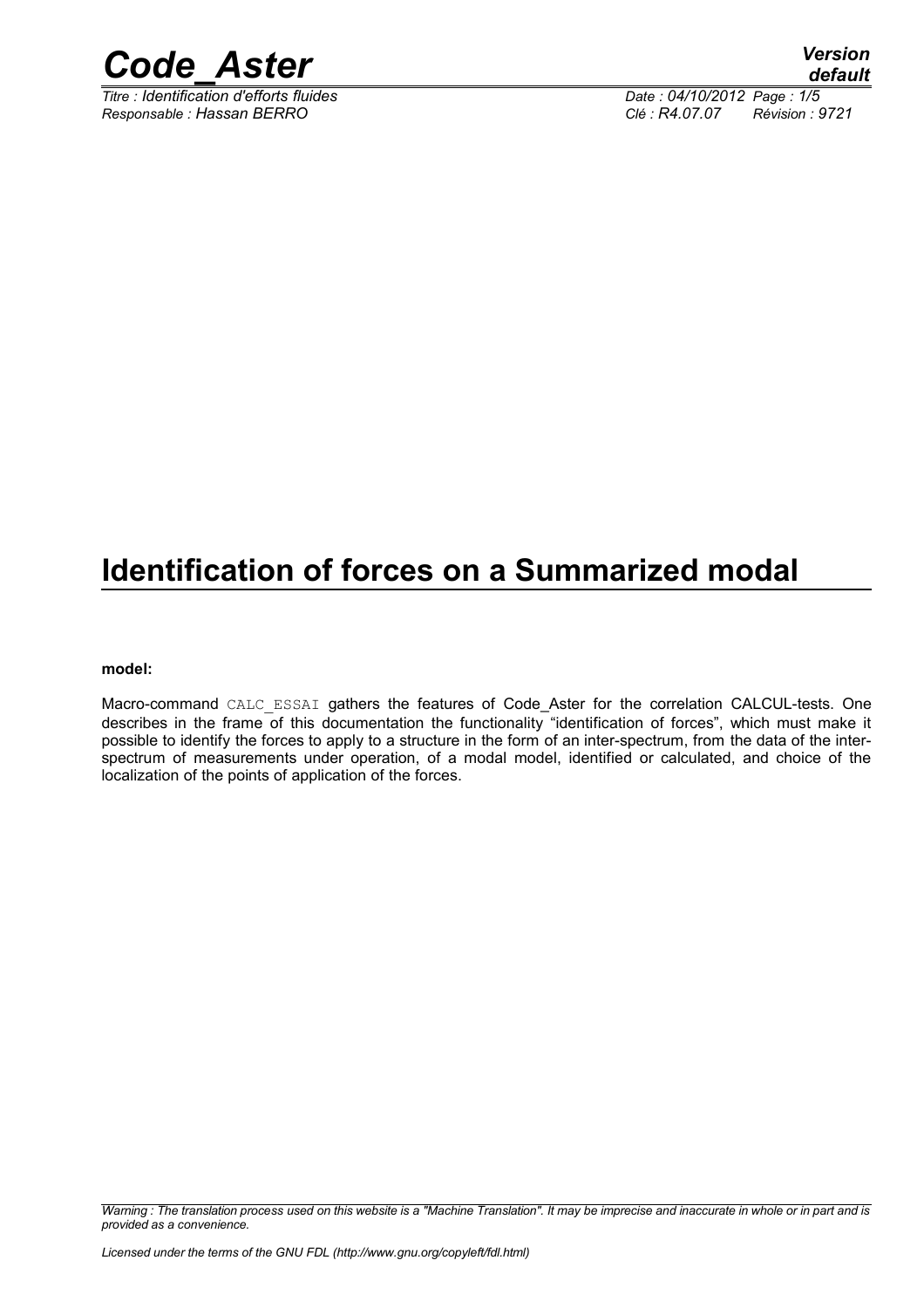

*Titre : Identification d'efforts fluides Date : 04/10/2012 Page : 1/5 Responsable : Hassan BERRO Clé : R4.07.07 Révision : 9721*

### **Identification of forces on a Summarized modal**

#### **model:**

Macro-command CALC ESSAI gathers the features of Code\_Aster for the correlation CALCUL-tests. One describes in the frame of this documentation the functionality "identification of forces", which must make it possible to identify the forces to apply to a structure in the form of an inter-spectrum, from the data of the interspectrum of measurements under operation, of a modal model, identified or calculated, and choice of the localization of the points of application of the forces.

*Warning : The translation process used on this website is a "Machine Translation". It may be imprecise and inaccurate in whole or in part and is provided as a convenience.*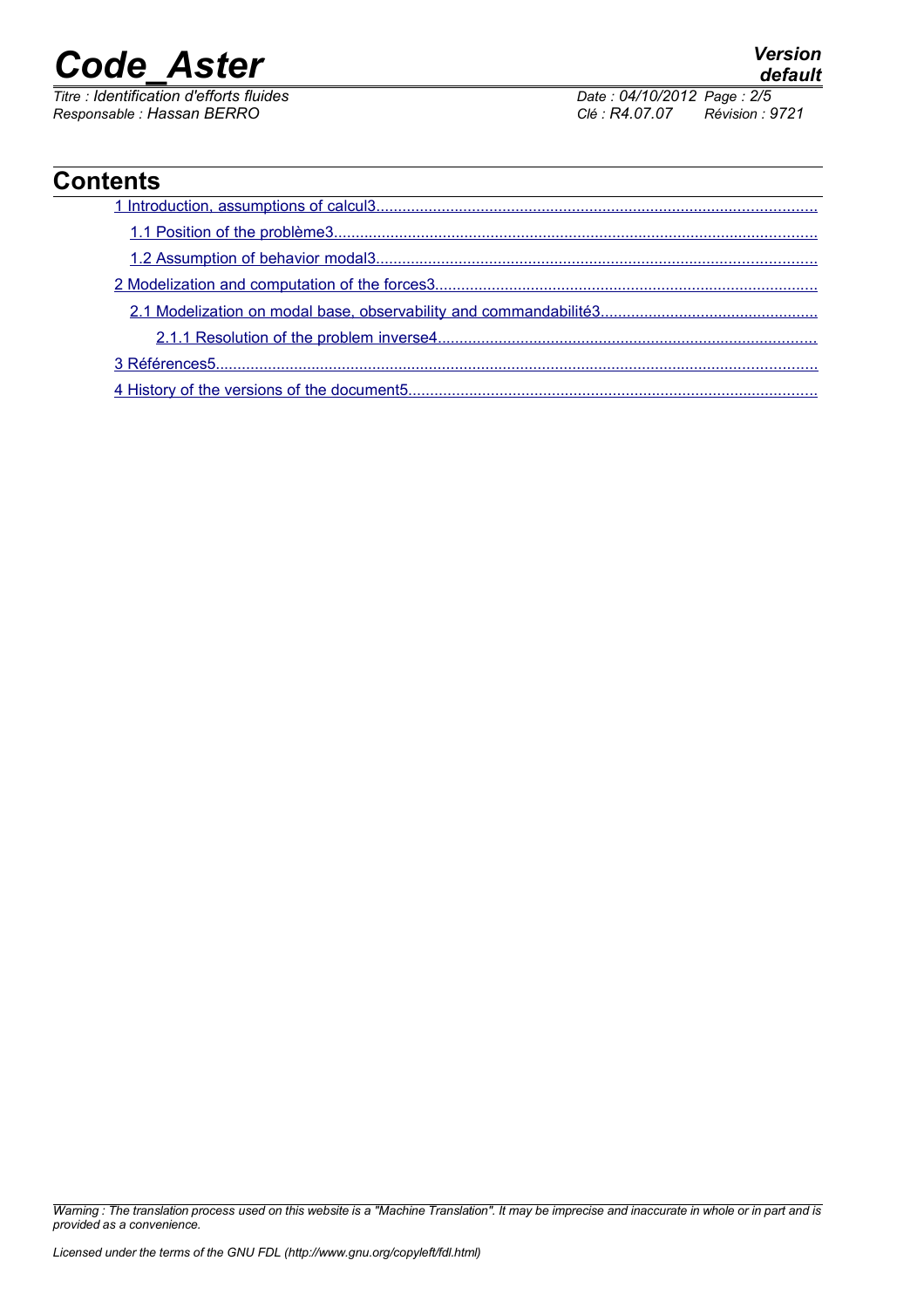*Responsable : Hassan BERRO Clé : R4.07.07 Révision : 9721*

*Titre : Identification d'efforts fluides Date : 04/10/2012 Page : 2/5*

### **Contents**

*Warning : The translation process used on this website is a "Machine Translation". It may be imprecise and inaccurate in whole or in part and is provided as a convenience.*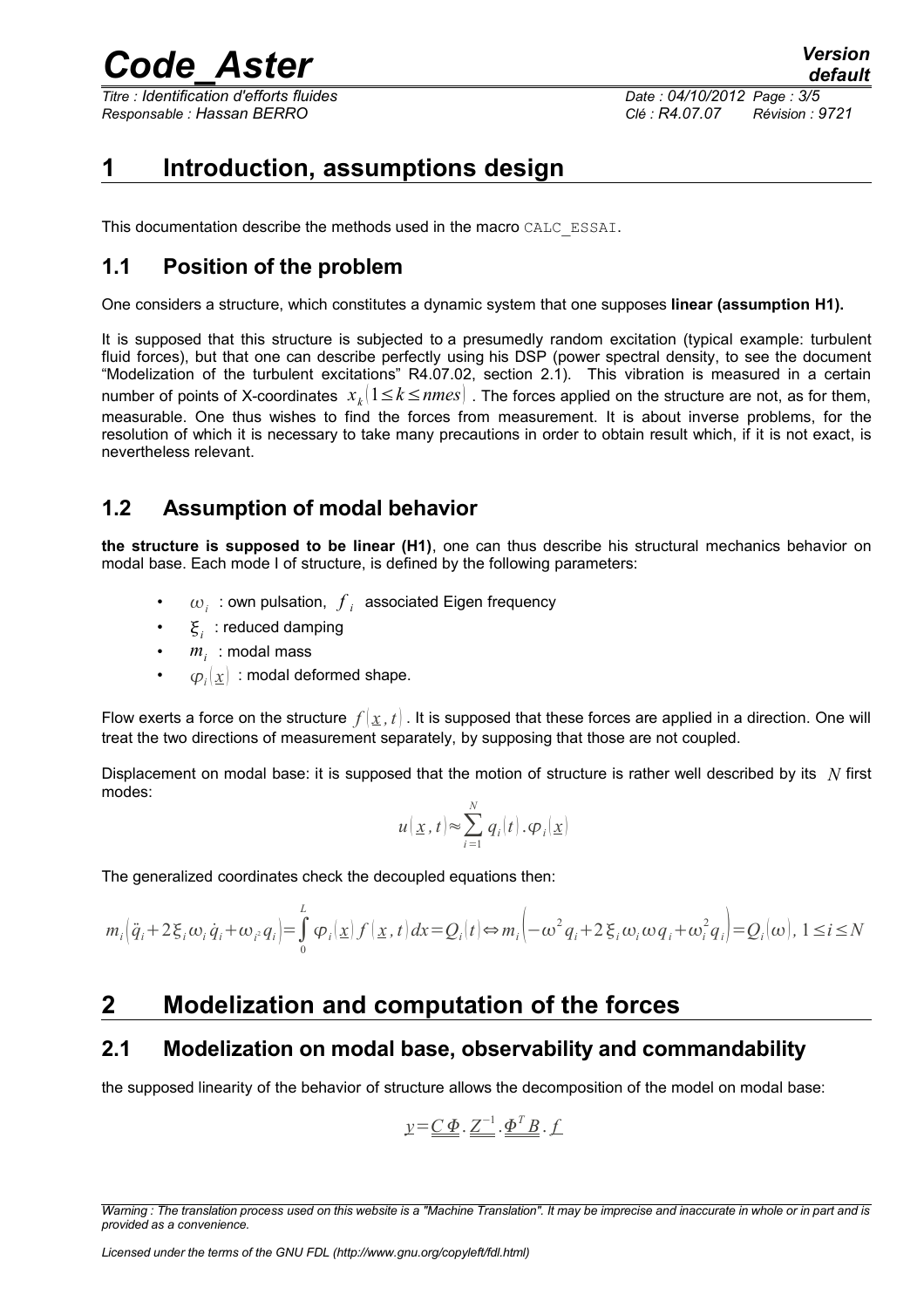*Titre : Identification d'efforts fluides Date : 04/10/2012 Page : 3/5 Responsable : Hassan BERRO Clé : R4.07.07 Révision : 9721*

### <span id="page-2-0"></span>**1 Introduction, assumptions design**

This documentation describe the methods used in the macro CALC\_ESSAI.

#### <span id="page-2-4"></span>**1.1 Position of the problem**

One considers a structure, which constitutes a dynamic system that one supposes **linear (assumption H1).**

It is supposed that this structure is subjected to a presumedly random excitation (typical example: turbulent fluid forces), but that one can describe perfectly using his DSP (power spectral density, to see the document "Modelization of the turbulent excitations" R4.07.02, section 2.1). This vibration is measured in a certain number of points of X-coordinates  $\;x_{k}\vert1\!\leq\!k\!\leq\!nmes\rvert$  . The forces applied on the structure are not, as for them, measurable. One thus wishes to find the forces from measurement. It is about inverse problems, for the resolution of which it is necessary to take many precautions in order to obtain result which, if it is not exact, is nevertheless relevant.

#### <span id="page-2-3"></span>**1.2 Assumption of modal behavior**

**the structure is supposed to be linear (H1)**, one can thus describe his structural mechanics behavior on modal base. Each mode I of structure, is defined by the following parameters:

- $\omega_i$  : own pulsation,  $\overline{f}_i$  associated Eigen frequency
- $\mathbf{F}_i$ : reduced damping
- $m<sub>i</sub>$ : modal mass
- $\quad \varphi_i(\underline{x}) \,$  : modal deformed shape.

Flow exerts a force on the structure  $f(x, t)$ . It is supposed that these forces are applied in a direction. One will treat the two directions of measurement separately, by supposing that those are not coupled.

Displacement on modal base: it is supposed that the motion of structure is rather well described by its *N* first modes:

$$
u(\underline{x},t) \approx \sum_{i=1}^{N} q_i(t) \cdot \varphi_i(\underline{x})
$$

The generalized coordinates check the decoupled equations then:

$$
m_i(\ddot{q}_i + 2\xi_i\omega_i\dot{q}_i + \omega_i q_i) = \int_0^L \varphi_i(\underline{x}) f(\underline{x}, t) dx = Q_i(t) \Leftrightarrow m_i(-\omega^2 q_i + 2\xi_i\omega_i\omega q_i + \omega_i^2 q_i) = Q_i(\omega), \ 1 \le i \le N
$$

### <span id="page-2-2"></span>**2 Modelization and computation of the forces**

#### <span id="page-2-1"></span>**2.1 Modelization on modal base, observability and commandability**

the supposed linearity of the behavior of structure allows the decomposition of the model on modal base:

$$
\underline{y} = \underline{\underline{C} \ \underline{\Phi}} \cdot \underline{Z}^{-1} \cdot \underline{\underline{\Phi}^T \underline{B}} \cdot \underline{f}
$$

*Warning : The translation process used on this website is a "Machine Translation". It may be imprecise and inaccurate in whole or in part and is provided as a convenience.*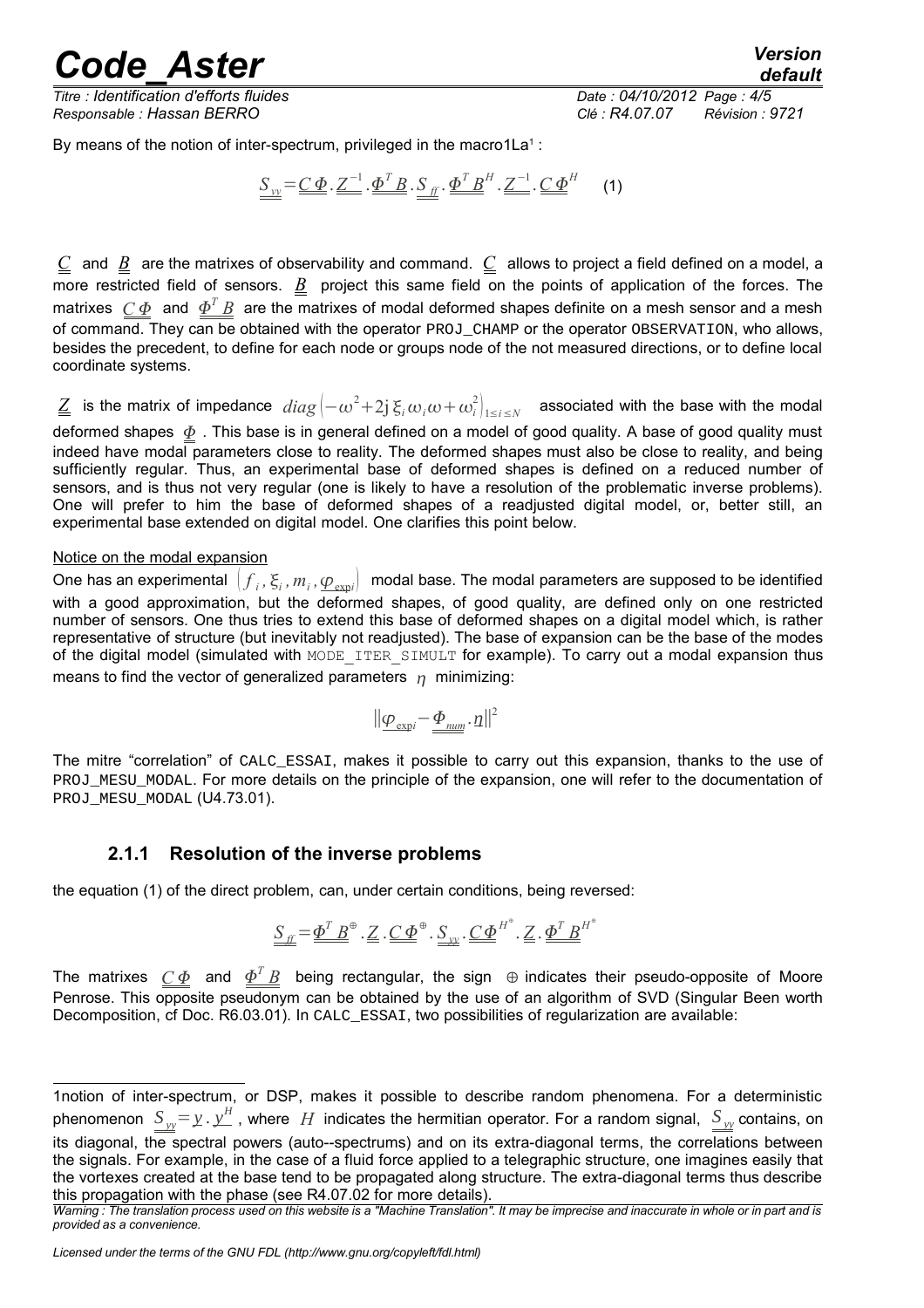*Titre : Identification d'efforts fluides Date : 04/10/2012 Page : 4/5 Responsable : Hassan BERRO Clé : R4.07.07 Révision : 9721*

By means of the notion of inter-spectrum, privileged in the macro[1](#page-3-1)La<sup>1</sup>:

$$
\underline{S}_{yy} = \underline{C} \underline{\Phi} \cdot \underline{Z}^{-1} \cdot \underline{\Phi}^T \underline{B} \cdot \underline{S}_{ff} \cdot \underline{\Phi}^T \underline{B}^H \cdot \underline{Z}^{-1} \cdot \underline{C} \underline{\Phi}^H
$$
 (1)

 $C$  and  $B$  are the matrixes of observability and command.  $C$  allows to project a field defined on a model, a more restricted field of sensors. *B* project this same field on the points of application of the forces. The matrixes  $\ C\Phi$  and  $\varPhi^TB$  are the matrixes of modal deformed shapes definite on a mesh sensor and a mesh of command. They can be obtained with the operator PROJ\_CHAMP or the operator OBSERVATION, who allows, besides the precedent, to define for each node or groups node of the not measured directions, or to define local coordinate systems.

 $\underline{Z}$  is the matrix of impedance  $diag\left(-\omega^2+2j\,\xi_i\omega_i\omega+\omega_i^2\right)_{1\le i\le N}$  associated with the base with the modal deformed shapes  $\Phi$ . This base is in general defined on a model of good quality. A base of good quality must indeed have modal parameters close to reality. The deformed shapes must also be close to reality, and being sufficiently regular. Thus, an experimental base of deformed shapes is defined on a reduced number of sensors, and is thus not very regular (one is likely to have a resolution of the problematic inverse problems). One will prefer to him the base of deformed shapes of a readjusted digital model, or, better still, an experimental base extended on digital model. One clarifies this point below.

#### Notice on the modal expansion

One has an experimental  $(f_i, \xi_i, m_i, \underline{\varphi_{\text{expl}}})$  modal base. The modal parameters are supposed to be identified with a good approximation, but the deformed shapes, of good quality, are defined only on one restricted number of sensors. One thus tries to extend this base of deformed shapes on a digital model which, is rather representative of structure (but inevitably not readjusted). The base of expansion can be the base of the modes of the digital model (simulated with MODE\_ITER\_SIMULT for example). To carry out a modal expansion thus means to find the vector of generalized parameters  $\eta$  minimizing:

$$
||\underline{\phi}_{\text{exp}i} \!-\! \underline{\phi}_{\textit{num}}.\, \eta||^2
$$

The mitre "correlation" of CALC\_ESSAI, makes it possible to carry out this expansion, thanks to the use of PROJ\_MESU\_MODAL. For more details on the principle of the expansion, one will refer to the documentation of PROJ\_MESU\_MODAL (U4.73.01).

#### <span id="page-3-0"></span>**2.1.1 Resolution of the inverse problems**

the equation (1) of the direct problem, can, under certain conditions, being reversed:

$$
\underline{S}_{\underline{F}} = \underline{\underline{\Phi}^T \underline{B}}^{\oplus} \cdot \underline{Z} \cdot \underline{C} \underline{\underline{\Phi}}^{\oplus} \cdot \underline{S}_{\underline{w}} \cdot \underline{C} \underline{\underline{\Phi}}^{H^{\oplus}} \cdot \underline{Z} \cdot \underline{\underline{\Phi}^T \underline{B}}^{H^{\oplus}}
$$

The matrixes  $C\Phi$  and  $\Phi^T\bar{B}$  being rectangular, the sign  $\,\oplus$  indicates their pseudo-opposite of Moore Penrose. This opposite pseudonym can be obtained by the use of an algorithm of SVD (Singular Been worth Decomposition, cf Doc. R6.03.01). In CALC\_ESSAI, two possibilities of regularization are available:

<span id="page-3-1"></span><sup>1</sup>notion of inter-spectrum, or DSP, makes it possible to describe random phenomena. For a deterministic phenomenon  $S_{\nu\nu} = \chi \cdot \chi^H$  , where  $H$  indicates the hermitian operator. For a random signal,  $|S_{\nu\nu}$  contains, on its diagonal, the spectral powers (auto--spectrums) and on its extra-diagonal terms, the correlations between the signals. For example, in the case of a fluid force applied to a telegraphic structure, one imagines easily that the vortexes created at the base tend to be propagated along structure. The extra-diagonal terms thus describe this propagation with the phase (see R4.07.02 for more details).

*Warning : The translation process used on this website is a "Machine Translation". It may be imprecise and inaccurate in whole or in part and is provided as a convenience.*